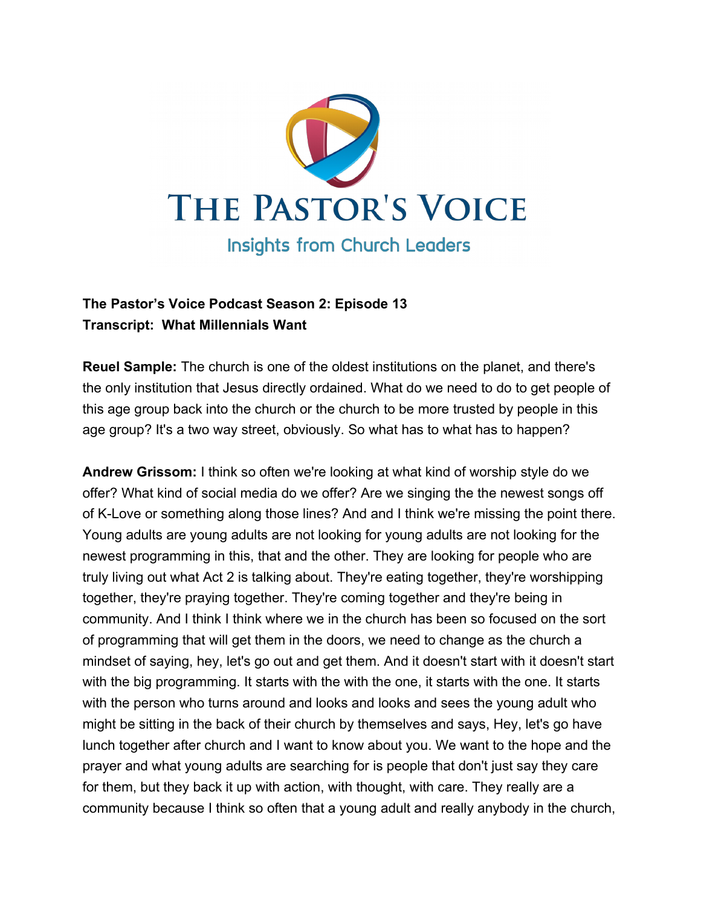

# **The Pastor's Voice Podcast Season 2: Episode 13 Transcript: What Millennials Want**

**Reuel Sample:** The church is one of the oldest institutions on the planet, and there's the only institution that Jesus directly ordained. What do we need to do to get people of this age group back into the church or the church to be more trusted by people in this age group? It's a two way street, obviously. So what has to what has to happen?

**Andrew Grissom:** I think so often we're looking at what kind of worship style do we offer? What kind of social media do we offer? Are we singing the the newest songs off of K-Love or something along those lines? And and I think we're missing the point there. Young adults are young adults are not looking for young adults are not looking for the newest programming in this, that and the other. They are looking for people who are truly living out what Act 2 is talking about. They're eating together, they're worshipping together, they're praying together. They're coming together and they're being in community. And I think I think where we in the church has been so focused on the sort of programming that will get them in the doors, we need to change as the church a mindset of saying, hey, let's go out and get them. And it doesn't start with it doesn't start with the big programming. It starts with the with the one, it starts with the one. It starts with the person who turns around and looks and looks and sees the young adult who might be sitting in the back of their church by themselves and says, Hey, let's go have lunch together after church and I want to know about you. We want to the hope and the prayer and what young adults are searching for is people that don't just say they care for them, but they back it up with action, with thought, with care. They really are a community because I think so often that a young adult and really anybody in the church,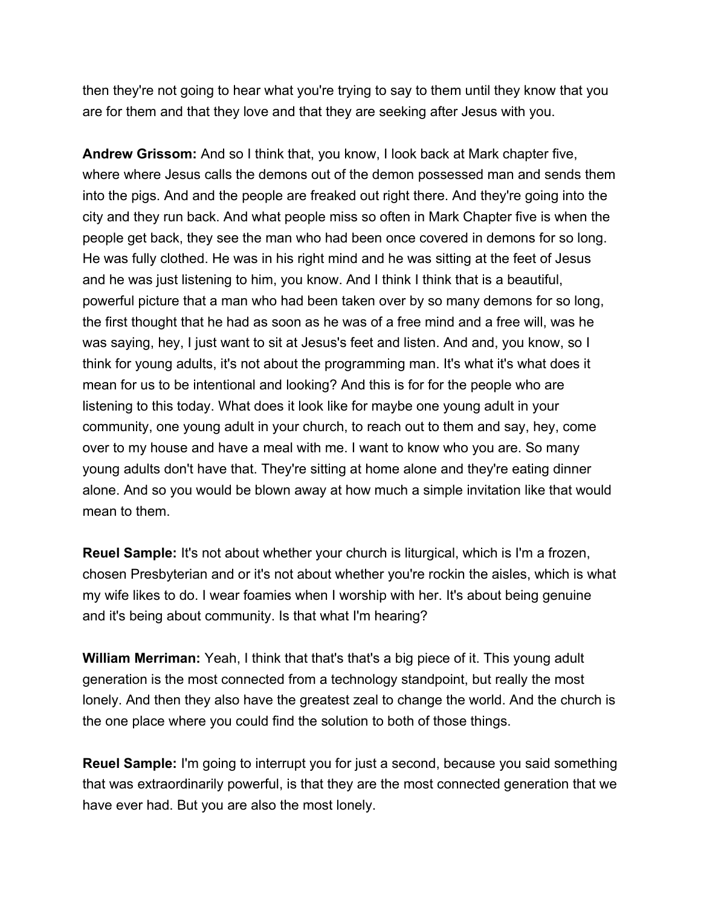then they're not going to hear what you're trying to say to them until they know that you are for them and that they love and that they are seeking after Jesus with you.

**Andrew Grissom:** And so I think that, you know, I look back at Mark chapter five, where where Jesus calls the demons out of the demon possessed man and sends them into the pigs. And and the people are freaked out right there. And they're going into the city and they run back. And what people miss so often in Mark Chapter five is when the people get back, they see the man who had been once covered in demons for so long. He was fully clothed. He was in his right mind and he was sitting at the feet of Jesus and he was just listening to him, you know. And I think I think that is a beautiful, powerful picture that a man who had been taken over by so many demons for so long, the first thought that he had as soon as he was of a free mind and a free will, was he was saying, hey, I just want to sit at Jesus's feet and listen. And and, you know, so I think for young adults, it's not about the programming man. It's what it's what does it mean for us to be intentional and looking? And this is for for the people who are listening to this today. What does it look like for maybe one young adult in your community, one young adult in your church, to reach out to them and say, hey, come over to my house and have a meal with me. I want to know who you are. So many young adults don't have that. They're sitting at home alone and they're eating dinner alone. And so you would be blown away at how much a simple invitation like that would mean to them.

**Reuel Sample:** It's not about whether your church is liturgical, which is I'm a frozen, chosen Presbyterian and or it's not about whether you're rockin the aisles, which is what my wife likes to do. I wear foamies when I worship with her. It's about being genuine and it's being about community. Is that what I'm hearing?

**William Merriman:** Yeah, I think that that's that's a big piece of it. This young adult generation is the most connected from a technology standpoint, but really the most lonely. And then they also have the greatest zeal to change the world. And the church is the one place where you could find the solution to both of those things.

**Reuel Sample:** I'm going to interrupt you for just a second, because you said something that was extraordinarily powerful, is that they are the most connected generation that we have ever had. But you are also the most lonely.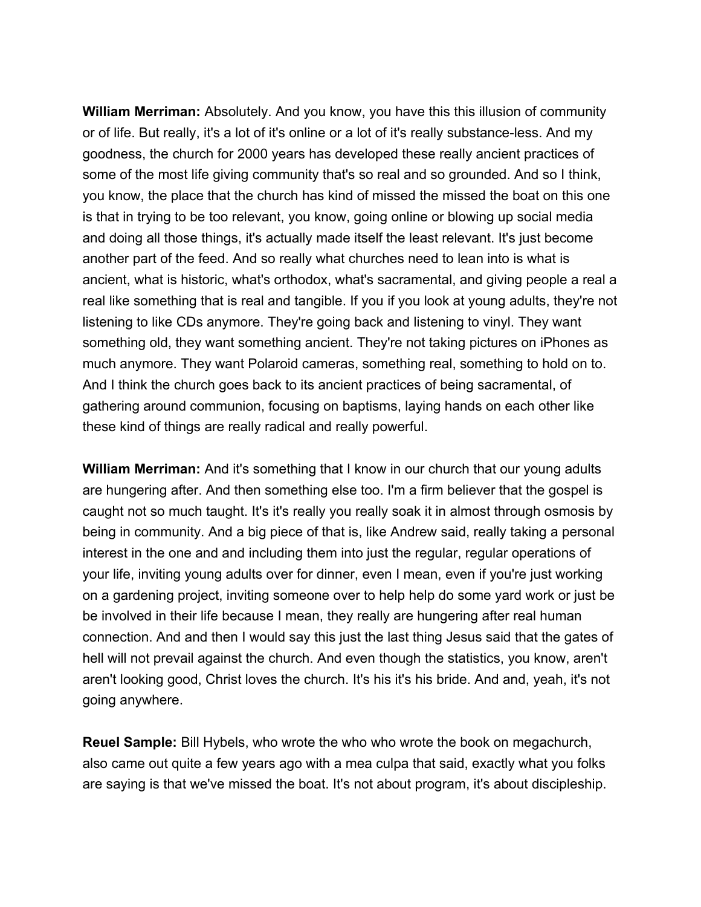**William Merriman:** Absolutely. And you know, you have this this illusion of community or of life. But really, it's a lot of it's online or a lot of it's really substance-less. And my goodness, the church for 2000 years has developed these really ancient practices of some of the most life giving community that's so real and so grounded. And so I think, you know, the place that the church has kind of missed the missed the boat on this one is that in trying to be too relevant, you know, going online or blowing up social media and doing all those things, it's actually made itself the least relevant. It's just become another part of the feed. And so really what churches need to lean into is what is ancient, what is historic, what's orthodox, what's sacramental, and giving people a real a real like something that is real and tangible. If you if you look at young adults, they're not listening to like CDs anymore. They're going back and listening to vinyl. They want something old, they want something ancient. They're not taking pictures on iPhones as much anymore. They want Polaroid cameras, something real, something to hold on to. And I think the church goes back to its ancient practices of being sacramental, of gathering around communion, focusing on baptisms, laying hands on each other like these kind of things are really radical and really powerful.

**William Merriman:** And it's something that I know in our church that our young adults are hungering after. And then something else too. I'm a firm believer that the gospel is caught not so much taught. It's it's really you really soak it in almost through osmosis by being in community. And a big piece of that is, like Andrew said, really taking a personal interest in the one and and including them into just the regular, regular operations of your life, inviting young adults over for dinner, even I mean, even if you're just working on a gardening project, inviting someone over to help help do some yard work or just be be involved in their life because I mean, they really are hungering after real human connection. And and then I would say this just the last thing Jesus said that the gates of hell will not prevail against the church. And even though the statistics, you know, aren't aren't looking good, Christ loves the church. It's his it's his bride. And and, yeah, it's not going anywhere.

**Reuel Sample:** Bill Hybels, who wrote the who who wrote the book on megachurch, also came out quite a few years ago with a mea culpa that said, exactly what you folks are saying is that we've missed the boat. It's not about program, it's about discipleship.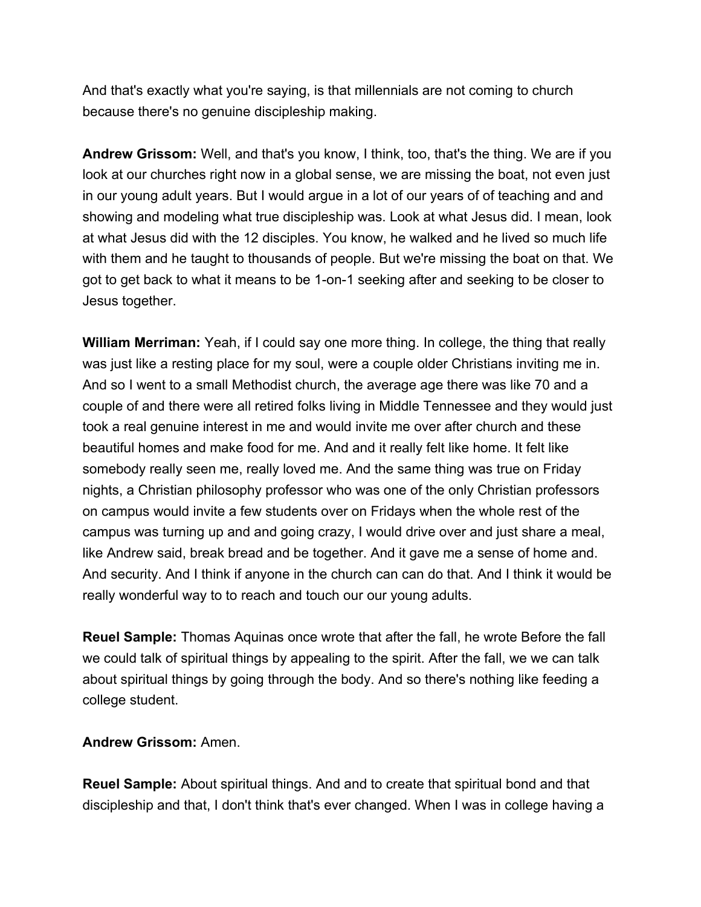And that's exactly what you're saying, is that millennials are not coming to church because there's no genuine discipleship making.

**Andrew Grissom:** Well, and that's you know, I think, too, that's the thing. We are if you look at our churches right now in a global sense, we are missing the boat, not even just in our young adult years. But I would argue in a lot of our years of of teaching and and showing and modeling what true discipleship was. Look at what Jesus did. I mean, look at what Jesus did with the 12 disciples. You know, he walked and he lived so much life with them and he taught to thousands of people. But we're missing the boat on that. We got to get back to what it means to be 1-on-1 seeking after and seeking to be closer to Jesus together.

**William Merriman:** Yeah, if I could say one more thing. In college, the thing that really was just like a resting place for my soul, were a couple older Christians inviting me in. And so I went to a small Methodist church, the average age there was like 70 and a couple of and there were all retired folks living in Middle Tennessee and they would just took a real genuine interest in me and would invite me over after church and these beautiful homes and make food for me. And and it really felt like home. It felt like somebody really seen me, really loved me. And the same thing was true on Friday nights, a Christian philosophy professor who was one of the only Christian professors on campus would invite a few students over on Fridays when the whole rest of the campus was turning up and and going crazy, I would drive over and just share a meal, like Andrew said, break bread and be together. And it gave me a sense of home and. And security. And I think if anyone in the church can can do that. And I think it would be really wonderful way to to reach and touch our our young adults.

**Reuel Sample:** Thomas Aquinas once wrote that after the fall, he wrote Before the fall we could talk of spiritual things by appealing to the spirit. After the fall, we we can talk about spiritual things by going through the body. And so there's nothing like feeding a college student.

#### **Andrew Grissom:** Amen.

**Reuel Sample:** About spiritual things. And and to create that spiritual bond and that discipleship and that, I don't think that's ever changed. When I was in college having a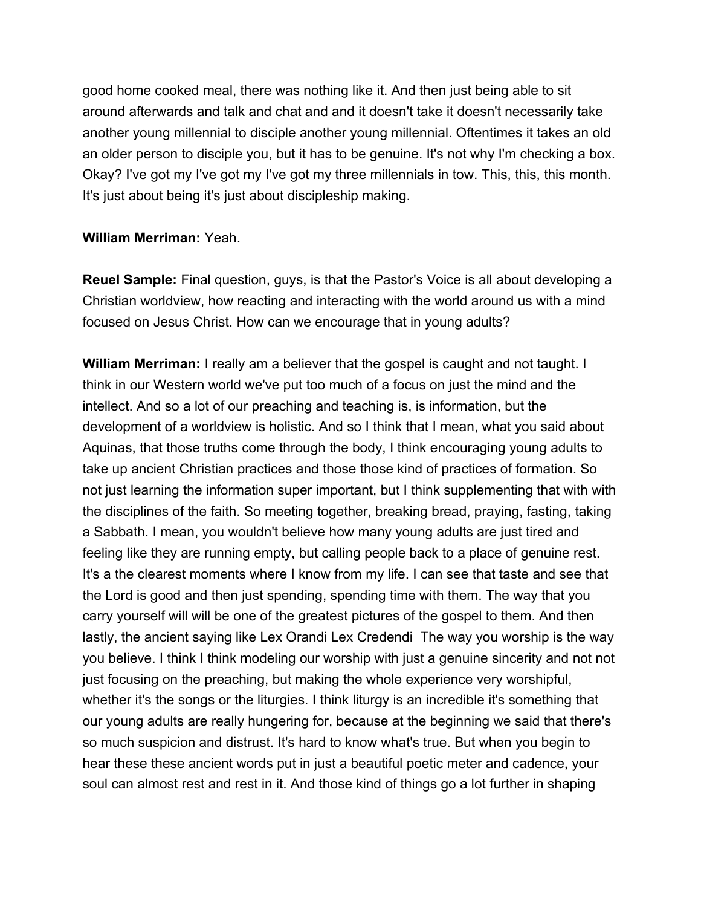good home cooked meal, there was nothing like it. And then just being able to sit around afterwards and talk and chat and and it doesn't take it doesn't necessarily take another young millennial to disciple another young millennial. Oftentimes it takes an old an older person to disciple you, but it has to be genuine. It's not why I'm checking a box. Okay? I've got my I've got my I've got my three millennials in tow. This, this, this month. It's just about being it's just about discipleship making.

### **William Merriman:** Yeah.

**Reuel Sample:** Final question, guys, is that the Pastor's Voice is all about developing a Christian worldview, how reacting and interacting with the world around us with a mind focused on Jesus Christ. How can we encourage that in young adults?

**William Merriman:** I really am a believer that the gospel is caught and not taught. I think in our Western world we've put too much of a focus on just the mind and the intellect. And so a lot of our preaching and teaching is, is information, but the development of a worldview is holistic. And so I think that I mean, what you said about Aquinas, that those truths come through the body, I think encouraging young adults to take up ancient Christian practices and those those kind of practices of formation. So not just learning the information super important, but I think supplementing that with with the disciplines of the faith. So meeting together, breaking bread, praying, fasting, taking a Sabbath. I mean, you wouldn't believe how many young adults are just tired and feeling like they are running empty, but calling people back to a place of genuine rest. It's a the clearest moments where I know from my life. I can see that taste and see that the Lord is good and then just spending, spending time with them. The way that you carry yourself will will be one of the greatest pictures of the gospel to them. And then lastly, the ancient saying like Lex Orandi Lex Credendi The way you worship is the way you believe. I think I think modeling our worship with just a genuine sincerity and not not just focusing on the preaching, but making the whole experience very worshipful, whether it's the songs or the liturgies. I think liturgy is an incredible it's something that our young adults are really hungering for, because at the beginning we said that there's so much suspicion and distrust. It's hard to know what's true. But when you begin to hear these these ancient words put in just a beautiful poetic meter and cadence, your soul can almost rest and rest in it. And those kind of things go a lot further in shaping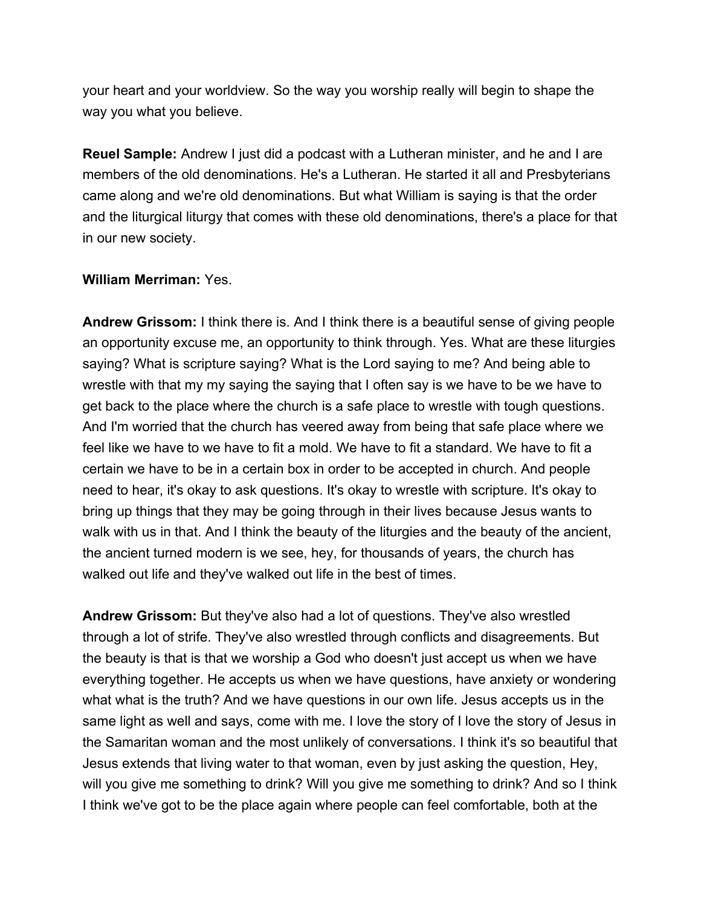your heart and your worldview. So the way you worship really will begin to shape the way you what you believe.

**Reuel Sample:** Andrew I just did a podcast with a Lutheran minister, and he and I are members of the old denominations. He's a Lutheran. He started it all and Presbyterians came along and we're old denominations. But what William is saying is that the order and the liturgical liturgy that comes with these old denominations, there's a place for that in our new society.

### **William Merriman:** Yes.

**Andrew Grissom:** I think there is. And I think there is a beautiful sense of giving people an opportunity excuse me, an opportunity to think through. Yes. What are these liturgies saying? What is scripture saying? What is the Lord saying to me? And being able to wrestle with that my my saying the saying that I often say is we have to be we have to get back to the place where the church is a safe place to wrestle with tough questions. And I'm worried that the church has veered away from being that safe place where we feel like we have to we have to fit a mold. We have to fit a standard. We have to fit a certain we have to be in a certain box in order to be accepted in church. And people need to hear, it's okay to ask questions. It's okay to wrestle with scripture. It's okay to bring up things that they may be going through in their lives because Jesus wants to walk with us in that. And I think the beauty of the liturgies and the beauty of the ancient, the ancient turned modern is we see, hey, for thousands of years, the church has walked out life and they've walked out life in the best of times.

**Andrew Grissom:** But they've also had a lot of questions. They've also wrestled through a lot of strife. They've also wrestled through conflicts and disagreements. But the beauty is that is that we worship a God who doesn't just accept us when we have everything together. He accepts us when we have questions, have anxiety or wondering what what is the truth? And we have questions in our own life. Jesus accepts us in the same light as well and says, come with me. I love the story of I love the story of Jesus in the Samaritan woman and the most unlikely of conversations. I think it's so beautiful that Jesus extends that living water to that woman, even by just asking the question, Hey, will you give me something to drink? Will you give me something to drink? And so I think I think we've got to be the place again where people can feel comfortable, both at the